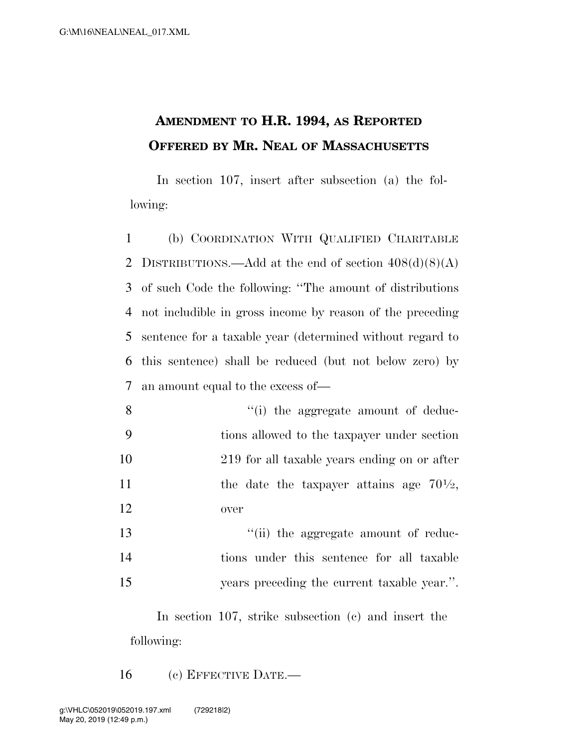## **AMENDMENT TO H.R. 1994, AS REPORTED OFFERED BY MR. NEAL OF MASSACHUSETTS**

In section 107, insert after subsection (a) the following:

 (b) COORDINATION WITH QUALIFIED CHARITABLE 2 DISTRIBUTIONS.—Add at the end of section  $408(d)(8)(A)$  of such Code the following: ''The amount of distributions not includible in gross income by reason of the preceding sentence for a taxable year (determined without regard to this sentence) shall be reduced (but not below zero) by an amount equal to the excess of—

- 8 ''(i) the aggregate amount of deduc-9 tions allowed to the taxpayer under section 10 219 for all taxable years ending on or after 11 the date the taxpayer attains age  $70\frac{1}{2}$ , 12 over
- 13  $\frac{1}{2}$   $\frac{1}{2}$  the aggregate amount of reduc-14 tions under this sentence for all taxable 15 years preceding the current taxable year.''.

In section 107, strike subsection (c) and insert the following:

16 (c) EFFECTIVE DATE.—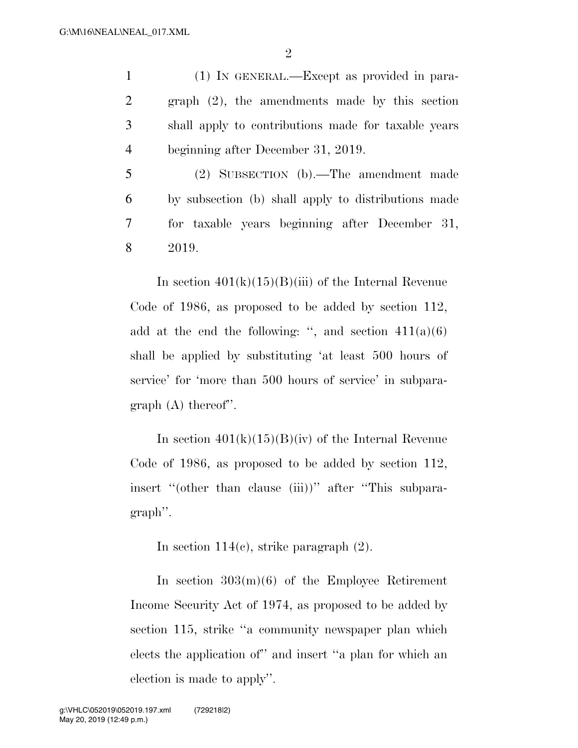2

 (1) IN GENERAL.—Except as provided in para- graph (2), the amendments made by this section shall apply to contributions made for taxable years beginning after December 31, 2019.

 (2) SUBSECTION (b).—The amendment made by subsection (b) shall apply to distributions made for taxable years beginning after December 31, 8 2019.

In section  $401(k)(15)(B(iii))$  of the Internal Revenue Code of 1986, as proposed to be added by section 112, add at the end the following: ", and section  $411(a)(6)$ shall be applied by substituting 'at least 500 hours of service' for 'more than 500 hours of service' in subparagraph (A) thereof''.

In section  $401(k)(15)(B)(iv)$  of the Internal Revenue Code of 1986, as proposed to be added by section 112, insert "(other than clause (iii))" after "This subparagraph''.

In section 114(c), strike paragraph (2).

In section  $303(m)(6)$  of the Employee Retirement Income Security Act of 1974, as proposed to be added by section 115, strike "a community newspaper plan which elects the application of'' and insert ''a plan for which an election is made to apply''.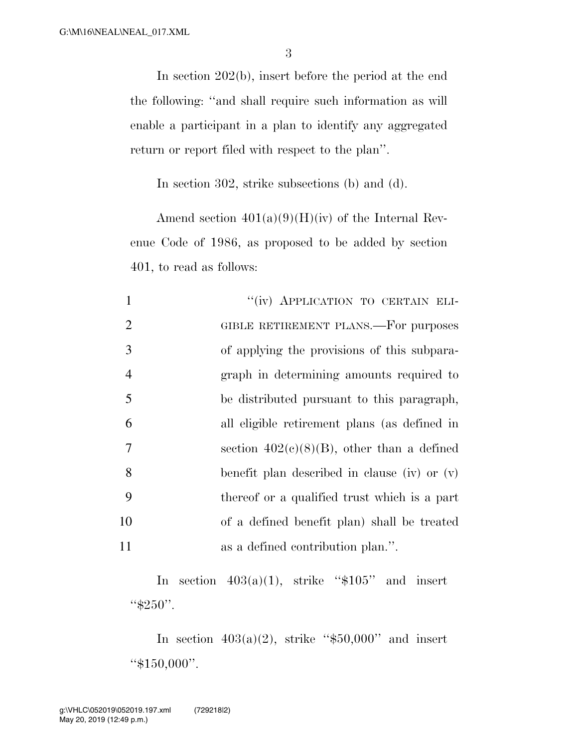3

In section 202(b), insert before the period at the end the following: ''and shall require such information as will enable a participant in a plan to identify any aggregated return or report filed with respect to the plan''.

In section 302, strike subsections (b) and (d).

Amend section  $401(a)(9)(H)(iv)$  of the Internal Revenue Code of 1986, as proposed to be added by section 401, to read as follows:

|                | "(iv) APPLICATION TO CERTAIN ELI-              |
|----------------|------------------------------------------------|
| 2              | GIBLE RETIREMENT PLANS.—For purposes           |
| 3              | of applying the provisions of this subpara-    |
| $\overline{4}$ | graph in determining amounts required to       |
| 5              | be distributed pursuant to this paragraph,     |
| 6              | all eligible retirement plans (as defined in   |
| 7              | section $402(c)(8)(B)$ , other than a defined  |
| 8              | benefit plan described in clause (iv) or $(v)$ |
| 9              | thereof or a qualified trust which is a part   |
| 10             | of a defined benefit plan) shall be treated    |
| 11             | as a defined contribution plan.".              |

In section  $403(a)(1)$ , strike "\$105" and insert  $``\$250"$ .

In section  $403(a)(2)$ , strike "\$50,000" and insert ''\$150,000''.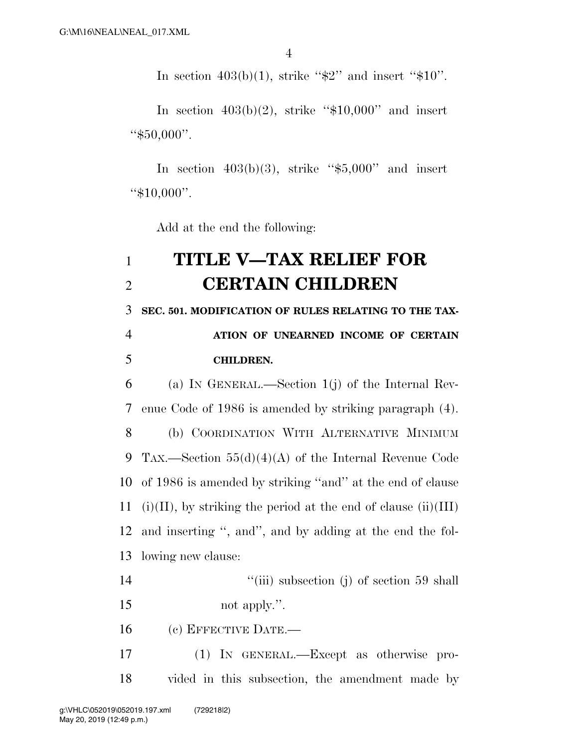In section  $403(b)(1)$ , strike " $$2"$  and insert " $$10"$ .

In section  $403(b)(2)$ , strike "\$10,000" and insert ''\$50,000''.

In section  $403(b)(3)$ , strike "\$5,000" and insert ''\$10,000''.

Add at the end the following:

## **TITLE V—TAX RELIEF FOR CERTAIN CHILDREN**

 **SEC. 501. MODIFICATION OF RULES RELATING TO THE TAX-ATION OF UNEARNED INCOME OF CERTAIN** 

## **CHILDREN.**

 (a) IN GENERAL.—Section 1(j) of the Internal Rev- enue Code of 1986 is amended by striking paragraph (4). (b) COORDINATION WITH ALTERNATIVE MINIMUM TAX.—Section 55(d)(4)(A) of the Internal Revenue Code of 1986 is amended by striking ''and'' at the end of clause 11 (i)(II), by striking the period at the end of clause (ii)(III) and inserting '', and'', and by adding at the end the fol-lowing new clause:

- 14 ''(iii) subsection (j) of section 59 shall
- not apply.''.
- (c) EFFECTIVE DATE.—
- (1) IN GENERAL.—Except as otherwise pro-vided in this subsection, the amendment made by